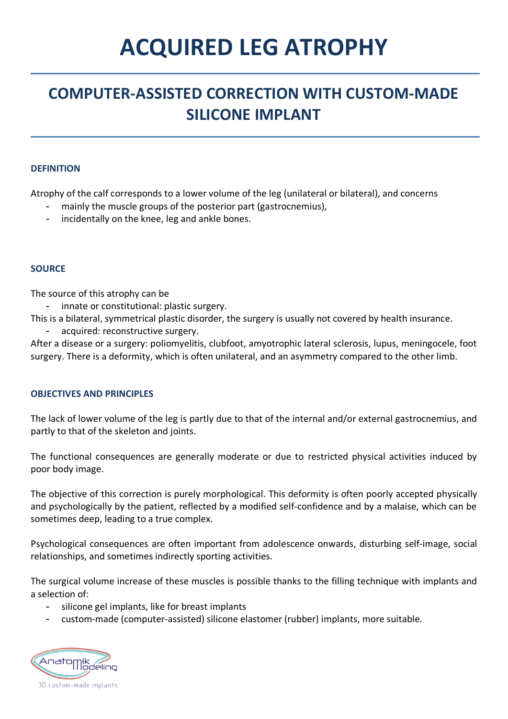# **ACQUIRED LEG ATROPHY**

# **COMPUTER-ASSISTED CORRECTION WITH CUSTOM-MADE SILICONE IMPLANT**

# **DEFINITION**

Atrophy of the calf corresponds to a lower volume of the leg (unilateral or bilateral), and concerns

- mainly the muscle groups of the posterior part (gastrocnemius),
- incidentally on the knee, leg and ankle bones.

# **SOURCE**

The source of this atrophy can be

- innate or constitutional: plastic surgery.
- This is a bilateral, symmetrical plastic disorder, the surgery is usually not covered by health insurance.
	- acquired: reconstructive surgery.

After a disease or a surgery: poliomyelitis, clubfoot, amyotrophic lateral sclerosis, lupus, meningocele, foot surgery. There is a deformity, which is often unilateral, and an asymmetry compared to the other limb.

# **OBJECTIVES AND PRINCIPLES**

The lack of lower volume of the leg is partly due to that of the internal and/or external gastrocnemius, and partly to that of the skeleton and joints.

The functional consequences are generally moderate or due to restricted physical activities induced by poor body image.

The objective of this correction is purely morphological. This deformity is often poorly accepted physically and psychologically by the patient, reflected by a modified self-confidence and by a malaise, which can be sometimes deep, leading to a true complex.

Psychological consequences are often important from adolescence onwards, disturbing self-image, social relationships, and sometimes indirectly sporting activities.

The surgical volume increase of these muscles is possible thanks to the filling technique with implants and a selection of:

- silicone gel implants, like for breast implants
- custom-made (computer-assisted) silicone elastomer (rubber) implants, more suitable.



3D custom-made implants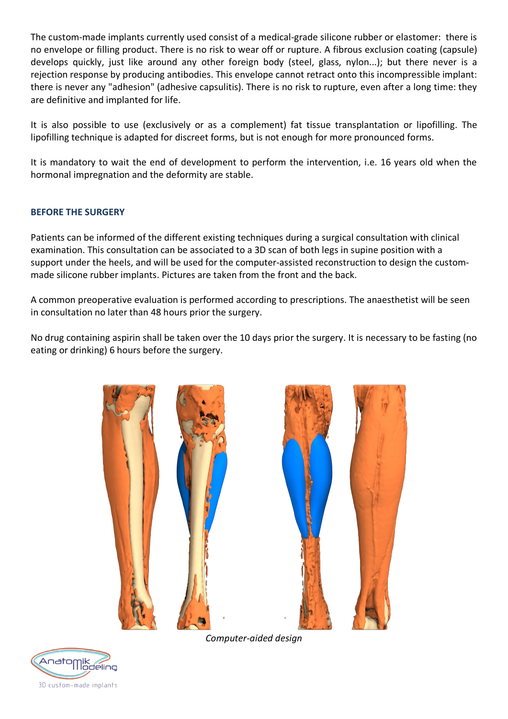The custom-made implants currently used consist of a medical-grade silicone rubber or elastomer: there is no envelope or filling product. There is no risk to wear off or rupture. A fibrous exclusion coating (capsule) develops quickly, just like around any other foreign body (steel, glass, nylon...); but there never is a rejection response by producing antibodies. This envelope cannot retract onto this incompressible implant: there is never any "adhesion" (adhesive capsulitis). There is no risk to rupture, even after a long time: they are definitive and implanted for life.

It is also possible to use (exclusively or as a complement) fat tissue transplantation or lipofilling. The lipofilling technique is adapted for discreet forms, but is not enough for more pronounced forms.

It is mandatory to wait the end of development to perform the intervention, i.e. 16 years old when the hormonal impregnation and the deformity are stable.

# **BEFORE THE SURGERY**

Patients can be informed of the different existing techniques during a surgical consultation with clinical examination. This consultation can be associated to a 3D scan of both legs in supine position with a support under the heels, and will be used for the computer-assisted reconstruction to design the custommade silicone rubber implants. Pictures are taken from the front and the back.

A common preoperative evaluation is performed according to prescriptions. The anaesthetist will be seen in consultation no later than 48 hours prior the surgery.

No drug containing aspirin shall be taken over the 10 days prior the surgery. It is necessary to be fasting (no eating or drinking) 6 hours before the surgery.



*Computer-aided design*

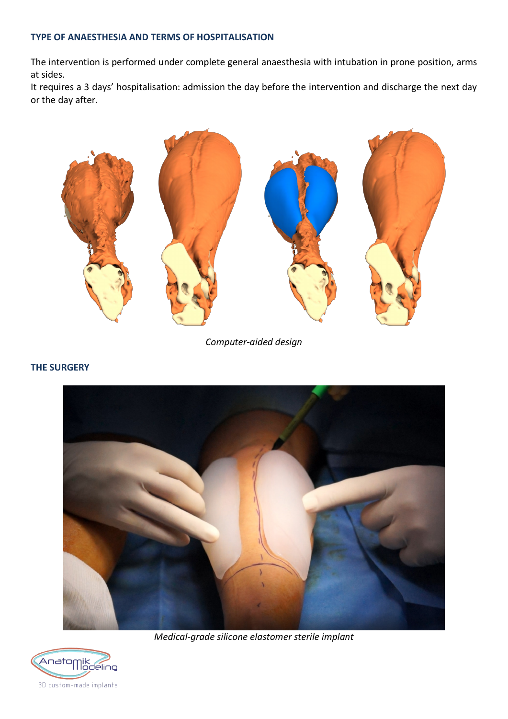## **TYPE OF ANAESTHESIA AND TERMS OF HOSPITALISATION**

The intervention is performed under complete general anaesthesia with intubation in prone position, arms at sides.

It requires a 3 days' hospitalisation: admission the day before the intervention and discharge the next day or the day after.



*Computer-aided design*

#### **THE SURGERY**



*Medical-grade silicone elastomer sterile implant*

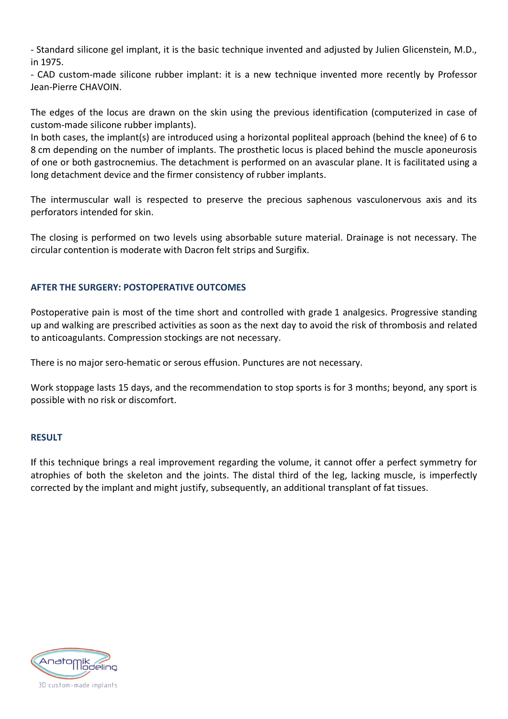- Standard silicone gel implant, it is the basic technique invented and adjusted by Julien Glicenstein, M.D., in 1975.

- CAD custom-made silicone rubber implant: it is a new technique invented more recently by Professor Jean-Pierre CHAVOIN.

The edges of the locus are drawn on the skin using the previous identification (computerized in case of custom-made silicone rubber implants).

In both cases, the implant(s) are introduced using a horizontal popliteal approach (behind the knee) of 6 to 8 cm depending on the number of implants. The prosthetic locus is placed behind the muscle aponeurosis of one or both gastrocnemius. The detachment is performed on an avascular plane. It is facilitated using a long detachment device and the firmer consistency of rubber implants.

The intermuscular wall is respected to preserve the precious saphenous vasculonervous axis and its perforators intended for skin.

The closing is performed on two levels using absorbable suture material. Drainage is not necessary. The circular contention is moderate with Dacron felt strips and Surgifix.

# **AFTER THE SURGERY: POSTOPERATIVE OUTCOMES**

Postoperative pain is most of the time short and controlled with grade 1 analgesics. Progressive standing up and walking are prescribed activities as soon as the next day to avoid the risk of thrombosis and related to anticoagulants. Compression stockings are not necessary.

There is no major sero-hematic or serous effusion. Punctures are not necessary.

Work stoppage lasts 15 days, and the recommendation to stop sports is for 3 months; beyond, any sport is possible with no risk or discomfort.

#### **RESULT**

**I**f this technique brings a real improvement regarding the volume, it cannot offer a perfect symmetry for atrophies of both the skeleton and the joints. The distal third of the leg, lacking muscle, is imperfectly corrected by the implant and might justify, subsequently, an additional transplant of fat tissues.